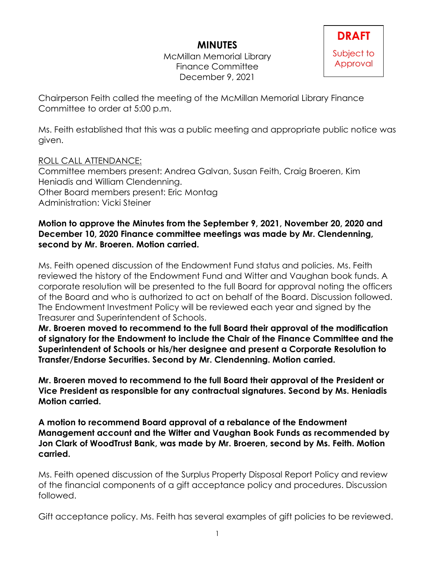# **MINUTES**

McMillan Memorial Library Finance Committee December 9, 2021

Chairperson Feith called the meeting of the McMillan Memorial Library Finance Committee to order at 5:00 p.m.

Ms. Feith established that this was a public meeting and appropriate public notice was given.

# ROLL CALL ATTENDANCE:

Committee members present: Andrea Galvan, Susan Feith, Craig Broeren, Kim Heniadis and William Clendenning. Other Board members present: Eric Montag Administration: Vicki Steiner

### **Motion to approve the Minutes from the September 9, 2021, November 20, 2020 and December 10, 2020 Finance committee meetings was made by Mr. Clendenning, second by Mr. Broeren. Motion carried.**

Ms. Feith opened discussion of the Endowment Fund status and policies. Ms. Feith reviewed the history of the Endowment Fund and Witter and Vaughan book funds. A corporate resolution will be presented to the full Board for approval noting the officers of the Board and who is authorized to act on behalf of the Board. Discussion followed. The Endowment Investment Policy will be reviewed each year and signed by the Treasurer and Superintendent of Schools.

**Mr. Broeren moved to recommend to the full Board their approval of the modification of signatory for the Endowment to include the Chair of the Finance Committee and the Superintendent of Schools or his/her designee and present a Corporate Resolution to Transfer/Endorse Securities. Second by Mr. Clendenning. Motion carried.**

**Mr. Broeren moved to recommend to the full Board their approval of the President or Vice President as responsible for any contractual signatures. Second by Ms. Heniadis Motion carried.**

**A motion to recommend Board approval of a rebalance of the Endowment Management account and the Witter and Vaughan Book Funds as recommended by Jon Clark of WoodTrust Bank, was made by Mr. Broeren, second by Ms. Feith. Motion carried.**

Ms. Feith opened discussion of the Surplus Property Disposal Report Policy and review of the financial components of a gift acceptance policy and procedures. Discussion followed.

Gift acceptance policy. Ms. Feith has several examples of gift policies to be reviewed.